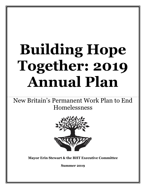# **Building Hope Together: 2019 Annual Plan**

New Britain's Permanent Work Plan to End Homelessness



**Mayor Erin Stewart & the BHT Executive Committee**

**Summer 2019**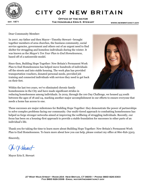

# **CITY OF NEW BRITAIN**

**Office of the mayor The Honorable Erin E. Stewart**

Dear Community Member:

**h** together members of area churches, the business community, social In 2007, my father and then Mayor—Timothy Stewart—brought service agencies, government and others out of an urgent need to find shelter for struggling and homeless individuals during the winter. It was known as the *Mayor's Ten Year Plan to End Homelessness*, based off of a nationwide model.

Since then, Building Hope Together: New Britain's Permanent Work Plan to End Homelessness has helped move hundreds of individuals off the streets and into stable housing. The work plan has provided transportation vouchers, donated personal needs, provided job training and connected individuals with services they need to get back on their feet.



Within the last two years, we've eliminated chronic family

homelessness in the City and have made significant strides in

reducing homelessness among individuals. In 2019, through the 100 Day Challenge, we housed 44 youth between the ages of 18 and 24, marking another major accomplishment in our efforts to ensure everyone that needs a home has access to one.

These successes are major milestones for Building Hope Together: they demonstrate the power of partnerships to solve complex problems facing our community. Our multi-tiered approach to combatting homelessness has helped us forge stronger networks aimed at improving the wellbeing of struggling individuals. Recently, our focus has been on a housing-first approach to provide a stable foundation for successes in other parts of an individual's life.

Thank you for taking the time to learn more about Building Hope Together: New Britain's Permanent Work Plan to End Homelessness. To learn more about how you can help, please contact my office at 860-826-3303.

Sincerely,

Ohi V. Havart

Mayor Erin E. Stewart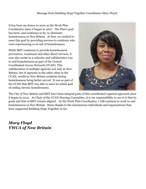It has been my honor to serve as the Work Plan Coordinator since it began in 2007. The Plan's goal has been, and continues to be, to eliminate homelessness in New Britain. At first, we worked to meet this goal by providing services to residents who were experiencing or at risk of homelessness.

While BHT continues to provide homelessness prevention, vocational and other direct services, it now also works in a cohesive and collaborative way to end homelessness as part of the Central Coordinated Access Network (CCAN). This collaboration of multiple agencies not only in New Britain, but of agencies in the other cities in the CCAN, results in New Britain residents facing homelessness being better served. It was as part of the CCAN that BHT was able to meet its initial goal of ending chronic homelessness.



The City of New Britain and BHT have been integral parts of this coordinated regional approach since it began in 2014. As Chair of the CCAN Steering Committee, it is my responsibility to see to it that its goals and that of BHT remain aligned. As the Work Plan Coordinator, I will continue to work to end homelessness in New Britain. Many thanks to the innumerous individuals and organizations that have supported Building Hope Together so far.

# *Mary Floyd YWCA of New Britain*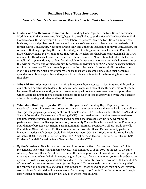# **Building Hope Together 2020**

# *New Britain's Permanent Work Plan to End Homelessness*

- **1. History of New Britain's Homeless Plan**: Building Hope Together, the New Britain Permanent Work Plan to End Homelessness (BHT), began in the fall of 2007 as the Mayor's Ten Year Plan to End Homelessness. It was developed through a collaborative process involving New Britain's municipal, business, civic and philanthropic leaders and its non-profit service providers under the leadership of former Mayor Tim Stewart. Now in its twelfth year, and under the leadership of Mayor Erin Stewart, the re-named Building Hope Together, met its initial goal of ending chronic homelessness in December 2016 when Governor Malloy announced that chronic homelessness had been eradicated in all the CANs in our state. This does not mean there is no more homelessness in New Britain, but rather that we have established a systematic way to identify and rapidly re-house those who are chronically homeless. As of this writing, there is one verified chronically homeless individual in our CAN and he has been matched to a housing resource. With a system in place to address the needs of the chronically homeless, the Plan's goals going forward are to rapidly re-house those who become homeless so their homeless episodes are as brief as possible and to prevent individual and families from becoming homeless in the first place.
- **2. Why Did Homelessness Rise?** An initial increase in homelessness in New Britain and throughout our state can be attributed to deinstitutionalization. People with mental health issues, many of whom had never lived independently, entered the community without adequate resources to support them. Other factors leading to the rise of homelessness are the lack of jobs that provide a living wage, lack of affordable housing and behavioral health issues.
- **3. What does Building Hope do? Who are the partners?** Building Hope Together provides vocational support, homelessness prevention, transportation assistance and mental health and wellness strategies for people experiencing or at risk of homelessness. BHT works closely with the CCAN and the State of Connecticut Department of Housing (DOH) to ensure that best practices are used to develop and implement strategies to assist those facing housing challenges in New Britain. Our funding partners are: American Savings Foundation, Community Chest of New Britain and Berlin, Community Foundation of Greater New Britain, Farmington Bank, Hoffman Foundation, Liberty Bank, Melville Foundation, Okay Industries, TD Bank Foundation and Webster Bank. Our community partners include: American Job Center, Capital Workforce Partners, CCAN, CCSU, Community Mental Health Affiliates, DOH, Friendship Service Center, HRA, Neighborhood Housing Services, New Britain EMS, Prudence Crandall, Salvation Army, Veterans Inc. and the YWCA.
- **4. By the Numbers:** New Britain remains one of the poorest cities in Connecticut. Over 22% of its residents fall below the federal income poverty level compared to about 10% for the rest of the state. Almost 31% of New Britain's children live under the federal poverty level. In addition, the average rent for an apartment in New Britain is \$1200; ranging from \$770 for a studio to \$1490 for a three-bedroom apartment. With an average rent of \$1200 and an average monthly income of around \$1925, about 62% of a renters' income goes towards rent. (According to HUD, households spending more than 30% of their income on housing are considered "cost-burdened"; those spending more than 50% are "severely cost burdened" and at risk of homelessness.) The January 2019 Point in Time Count found 146 people experiencing homelessness in New Britain, 29 of whom were children.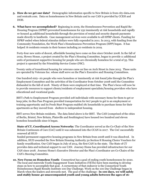- **5. How do we get our data?** Demographic information specific to New Britain is from city-data**.**com and rentcafe.com. Data on homelessness in New Britain and in our CAN is provided by CCEH and DOH.
- **6. What have we accomplished?** Beginning in 2009, the Homelessness Prevention and Rapid Re-Housing Program (HPRP) prevented homelessness for 252 imminently at risk households and rapidly re-housed 44 additional households through the provision of rental and security deposit payments made directly to landlords. Case management services were available to all HPRP clients. Funding for HPRP ended when federal stimulus dollars were fully expended in 2011. In 2013, with funding from the Community Foundation, the Work Plan's Homelessness Prevention Program (HPP) began. It has helped 76 residents remain in their homes including 20 residents in 2019.

Forty-four new units of decent, affordable housing have come on line since October 2008. In the fall of 2019, Howey House, a project created by the Plan's Housing Committee, began to provide 11 additional units of permanent supportive housing for people who are chronically homeless for a total of 55. This project is operated by the Friendship Service Center (FSC).

Twenty units of transitional housing for veterans came on line on Arch Street in June 2015. These units are operated by Veterans Inc. whose staff serve on the Plan's Executive and Housing Committees.

One hundred sixty- six people who were homeless or imminently at risk found jobs through the Plan's Employment Committee and the activities of the Coordinator from October 2008 until the Committee disbanded in the fall of 2018. Ninety of them were employed at that time. The Plan's focus will now be to provide resources to support clients/residents of employment specialists/housing providers who have educational and vocational goals.

BHT's Path to Employment Program provided 218 individuals with necessary items for them to get or keep jobs; its Bus Pass Program provided transportation for 607 people to get to an employment or training opportunity and its Fresh Start Program enabled 181 households to purchase items for their apartments as they moved from shelters to independent housing.

BHT serves New Britain residents. The data listed above is for BHT. The CAN (comprised of the cities of Berlin, Bristol, New Britain, Plainville and Southington) have housed two hundred and eleven homeless households since it began.

**State of CT, Coordinated Access Networks**: The Coordinator served as the Co-Chair of the New Britain Continuum of Care (CoC) until it was subsumed into the CCAN in 2017. The CoC successfully renewed all HUD

funded permanent supportive housing programs in New Britain from 2008 until it was dissolved. In addition, HUD awarded the New Britain Housing Authority 50 Section 8 Housing Choice Vouchers for family reunification. Our CAN began in July of 2014, the first CAN in the state. The State of CT provides data and technical support to our CAN. Journey Home has provided infrastructure for our CAN since 2018. Journey Home's Executive Director and the Plan's Coordinator are Co-Chairs of the CAN's Steering Committee.

**10. New Focus on Homeless Youth**: Connecticut has a goal of ending youth homelessness by 2020. The local and statewide Youth Engagement Team Initiatives (YETIs) have been meeting to develop steps on how to accomplish that goal. A cornerstone of that endeavor is the Connecticut Youth Homelessness Rapid Results Institute 100 Day Challenge. Work on the 100 Day Challenge began in March when the leaders and stewards met. The goal of the challenge: **In 100 days, we will safely and stably house 40 unaccompanied youth and young adults between the ages of 16-**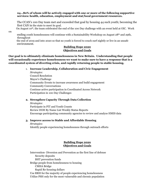#### **24...80% of whom will be actively engaged with one or more of the following supportive services: health, education, employment and stat/local government resources.**

 The CCAN's 100 Day team met and exceeded that goal by housing 44 such youth; becoming the first CAN in the state to meet its goal.

On August 10th, the team celebrated the end of the 100 Day challenge with an event held at OIC. Work

ending youth homelessness will continue with a Sustainability Workshop on August  $28<sup>th</sup>$  and 29th, throughout

 the end of 2019 and into 2020 so that no youth is forced to couch surf nightly or live in an unsafe environment.

#### **Building Hope 2020 Objectives and Goals**

**Our goal is to ultimately eliminate homelessness in New Britain. Understanding that people will occasionally experience homelessness we want to make sure to have a response that is a coordinated system of diverting crisis, and rapidly returning people to stable housing.**

1. **Increase Leadership, Collaboration and Civic Engagement**

*Strategies:* Council Resolution Mayor's Challenge Community Events to increase awareness and build engagement Community Conversations Continue active participation in Coordinated Access Network Participation in 100 Day Challenges

#### **2. Strengthen Capacity Through Data Collection**

*Strategies:*  Participate in PIT and Youth Counts Review DOH By Name List Weekly Status Reports Encourage participating community agencies to review and analyze HMIS data

#### **3. Improve access to Stable and Affordable Housing**

*Strategies:*  Identify people experiencing homelessness through outreach efforts

#### **Building Hope 2020 Objectives and Goals**

Intervention- Diversion and Prevention as the first line of defense Security deposits BHT prevention funds Bridge people from homelessness to housing CMHA Bridge Rapid Re-housing dollars Use RRH for the majority of people experiencing homelessness Utilize PSH only for the most vulnerable and chronic population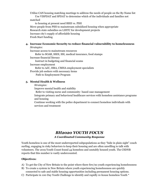Utilize CAN housing matching meetings to address the needs of people on the By-Name list Use VISPDAT and SPDAT to determine which of the individuals and families not

matched

 to housing at present need RRH vs. PSH Move people from PSH to mainstream subsidized housing when appropriate Research state subsidies on LIHTC for development projects Increase city's supply of affordable housing Fresh Start funding

#### **4. Increase Economic Security to reduce financial vulnerability to homelessness**

*Strategies:* 

Increase access to mainstream resources Refer to SOAR, SSDI, SSI, medical insurance, food stamps Increase financial literacy Instruct in budgeting and financial scams Increase employment Refer to AJC, HRA, CMHA employment specialists Provide job seekers with necessary items

Path to Employment Program

#### **5. Mental Health & Wellness**

*Strategies:* 

Improve mental health and stability

Refer to visiting nurse and community- based case management

Integrate primary and behavioral healthcare services with homeless assistance programs and housing

Continue working with the police department to connect homeless individuals with services and treatment

### *BH2020 YOUTH FOCUS A Coordinated Community Response*

Youth homeless is one of the most underreported subpopulations as they "hide in plain sight" couch surfing, engaging in risky behaviors to keep their housing and are often unwilling to talk with volunteers. The 2019 Youth Count found 44 homeless and unstably housed youth. The CSDNB reports that this number is vastly undercounted.

#### **Objectives:**

- A) To get the City of New Britain to the point where there few/no youth experiencing homelessness
- B) To create a system in New Britain where youth experiencing homelessness are quickly connected to safe and stable housing opportunities including permanent housing options.
- C) Participate in 100 Day Youth Challenge to identify and rapidly re-house homeless Youth  $*$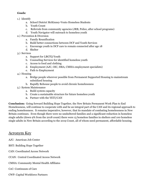#### *Goals:*

- 1.) Identify
	- a. School District McKinney-Vento Homeless Students
	- b. Youth Count
	- c. Referrals from community agencies (JRB, Police, after school programs)
	- d. Youth Navigator will outreach to homeless youth
- 2.) Prevention & Diversion
	- a. Family Reunification
	- b. Build better connections between DCF and Youth Services
	- c. Encourage youth in DCF care to remain connected after age 18
	- d. Shelter
- 3.) Services
	- a. Support for LBGTQ Youth
	- b. Counseling Services for identified homeless youth
	- c. Access to food and clothing
	- d. Employment (AJC, OIC, HRA, CMHA employment specialists)
	- e. Path to Employment
- 4.) Housing
	- a. Bridge people wherever possible from Permanent Supported Housing to mainstream subsidized housing
	- b. Rapidly Rehouse people to avoid chronic homelessness
- 5.) System Maintenance
	- a. Build system capacity
	- b. Create a sustainable structure for future homeless youth
	- **c.** Partner with the YETI/CAN

**Conclusion:** Going forward Building Hope Together, the New Britain Permanent Work Plan to End Homelessness, will continue to cooperate with and be an integral part of the CAN and its regional approach to ending homelessness. It remains imperative, however, that its mandate of combating homelessness in New Britain continues. Even though there were no unsheltered families and a significant reduction in homeless single adults (down 9% from the 2018 count) there were 15 homeless families in shelters and 100 homeless single adults in New Britain according to the 2019 Count, all of whom need permanent, affordable housing.

# Acronym Key

- AJC: American Job Center
- BHT: Building Hope Together
- CAN: Coordinated Access Network
- CCAN: Central Coordinated Access Network
- CMHA: Community Mental Health Affiliates
- CoC: Continuum of Care
- CWP: Capital Workforce Partners